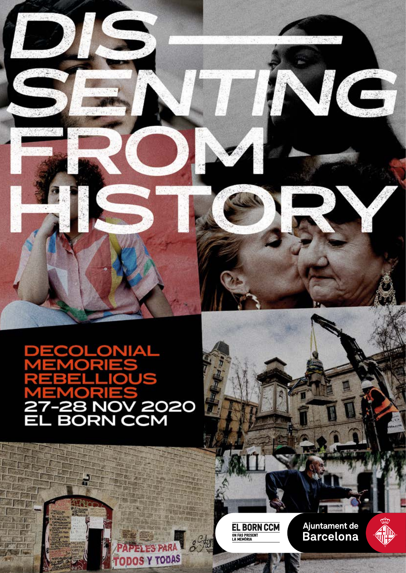

ELES PARA & Ster

**TODOS Y TODAS** 

# Δ חו r r an **B NOV 2020<br>DRN CCM** 3

F

# EL BORN CCM<br>
ON FAS PRESENT<br>LA MEMORIA

Ajuntament de<br>Barcelona



G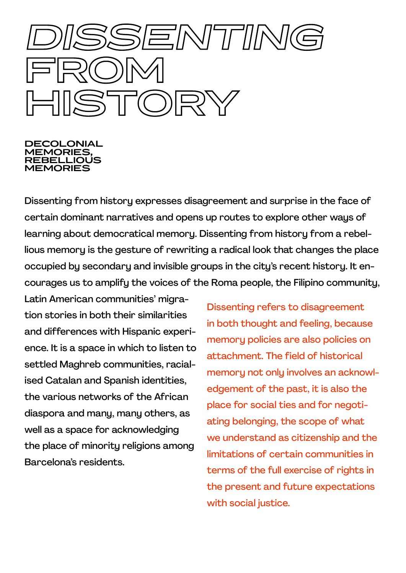

#### **DECOLONIAL MEMORIES, REBELLIOUS MEMORIES**

Dissenting from history expresses disagreement and surprise in the face of certain dominant narratives and opens up routes to explore other ways of learning about democratical memory. Dissenting from history from a rebellious memory is the gesture of rewriting a radical look that changes the place occupied by secondary and invisible groups in the city's recent history. It encourages us to amplify the voices of the Roma people, the Filipino community,

Latin American communities' migration stories in both their similarities and differences with Hispanic experience. It is a space in which to listen to settled Maghreb communities, racialised Catalan and Spanish identities, the various networks of the African diaspora and many, many others, as well as a space for acknowledging the place of minority religions among Barcelona's residents.

Dissenting refers to disagreement in both thought and feeling, because memory policies are also policies on attachment. The field of historical memory not only involves an acknowledgement of the past, it is also the place for social ties and for negotiating belonging, the scope of what we understand as citizenship and the limitations of certain communities in terms of the full exercise of rights in the present and future expectations with social justice.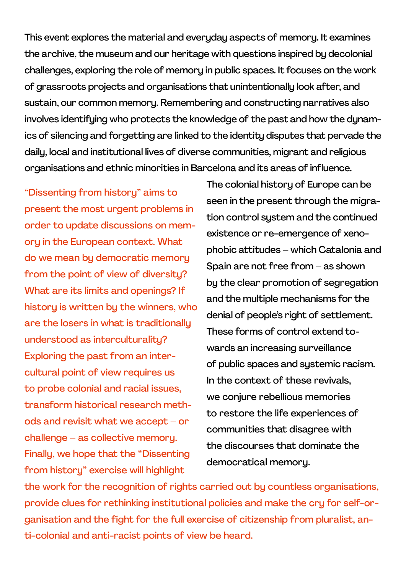This event explores the material and everyday aspects of memory. It examines the archive, the museum and our heritage with questions inspired by decolonial challenges, exploring the role of memory in public spaces. It focuses on the work of grassroots projects and organisations that unintentionally look after, and sustain, our common memory. Remembering and constructing narratives also involves identifying who protects the knowledge of the past and how the dynamics of silencing and forgetting are linked to the identity disputes that pervade the daily, local and institutional lives of diverse communities, migrant and religious organisations and ethnic minorities in Barcelona and its areas of influence.

"Dissenting from history" aims to present the most urgent problems in order to update discussions on memory in the European context. What do we mean by democratic memory from the point of view of diversity? What are its limits and openings? If history is written by the winners, who are the losers in what is traditionally understood as interculturality? Exploring the past from an intercultural point of view requires us to probe colonial and racial issues, transform historical research methods and revisit what we accept – or challenge – as collective memory. Finally, we hope that the "Dissenting from history" exercise will highlight

The colonial history of Europe can be seen in the present through the migration control system and the continued existence or re-emergence of xenophobic attitudes – which Catalonia and Spain are not free from – as shown by the clear promotion of segregation and the multiple mechanisms for the denial of people's right of settlement. These forms of control extend towards an increasing surveillance of public spaces and systemic racism. In the context of these revivals, we conjure rebellious memories to restore the life experiences of communities that disagree with the discourses that dominate the democratical memory.

the work for the recognition of rights carried out by countless organisations, provide clues for rethinking institutional policies and make the cry for self-organisation and the fight for the full exercise of citizenship from pluralist, anti-colonial and anti-racist points of view be heard.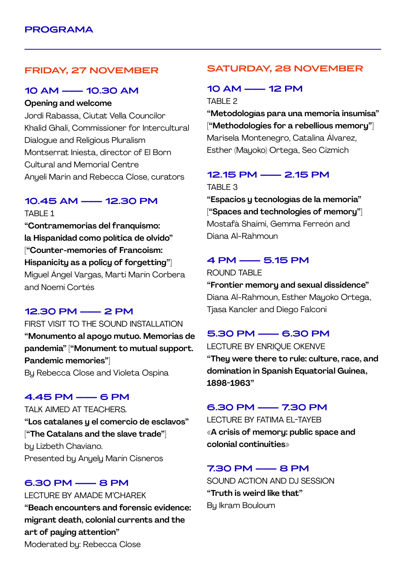## **FRIDAY, 27 NOVEMBER**

#### **10 AM ––– 10.30 AM**

Opening and welcome

Jordi Rabassa, Ciutat Vella Councilor Khalid Ghali, Commissioner for Intercultural Dialogue and Religious Pluralism Montserrat Iniesta, director of El Born Cultural and Memorial Centre Anueli Marin and Rebecca Close, curators

# **10.45 AM ––– 12.30 PM**

TABLE 1

"Contramemorias del franquismo: la Hispanidad como política de olvido" ["Counter-memories of Francoism: Hispanicity as a policy of forgetting"] Miguel Ángel Vargas, Martí Marín Corbera and Noemí Cortés

# **12.30 PM ––– 2 PM**

FIRST VISIT TO THE SOUND INSTALLATION "Monumento al apoyo mutuo. Memorias de pandemia" ["Monument to mutual support. Pandemic memories"] By Rebecca Close and Violeta Ospina

# **4.45 PM ––– 6 PM**

TALK AIMED AT TEACHERS. "Los catalanes y el comercio de esclavos" ["The Catalans and the slave trade"] by Lizbeth Chaviano. Presented by Anyely Marín Cisneros

#### **6.30 PM ––– 8 PM**

LECTURE BY AMADE M'CHAREK "Beach encounters and forensic evidence: migrant death, colonial currents and the art of paying attention" Moderated by: Rebecca Close

# **SATURDAY, 28 NOVEMBER**

# **10 AM ––– 12 PM**

TABLE 2

"Metodologías para una memoria insumisa" ["Methodologies for a rebellious memory"] Marisela Montenegro, Catalina Álvarez, Esther (Mayoko) Ortega, Seo Cizmich

#### **12.15 PM ––– 2.15 PM**

TABLE 3

"Espacios y tecnologías de la memoria" ["Spaces and technologies of memory"] Mostafà Shaimi, Gemma Ferreón and Diana Al-Rahmoun

# **4 PM ––– 5.15 PM**

ROUND TABLE

"Frontier memory and sexual dissidence" Diana Al-Rahmoun, Esther Mayoko Ortega, Tiasa Kancler and Diego Falconi

#### **5.30 PM ––– 6.30 PM**

LECTURE BY ENRIQUE OKENVE "They were there to rule: culture, race, and domination in Spanish Equatorial Guinea, 1898-1963"

#### **6.30 PM ––– 7.30 PM**

LECTURE BY FATIMA EL-TAYEB «A crisis of memory: public space and colonial continuities»

# **7.30 PM ––– 8 PM**

SOUND ACTION AND DJ SESSION "Truth is weird like that" By Ikram Bouloum